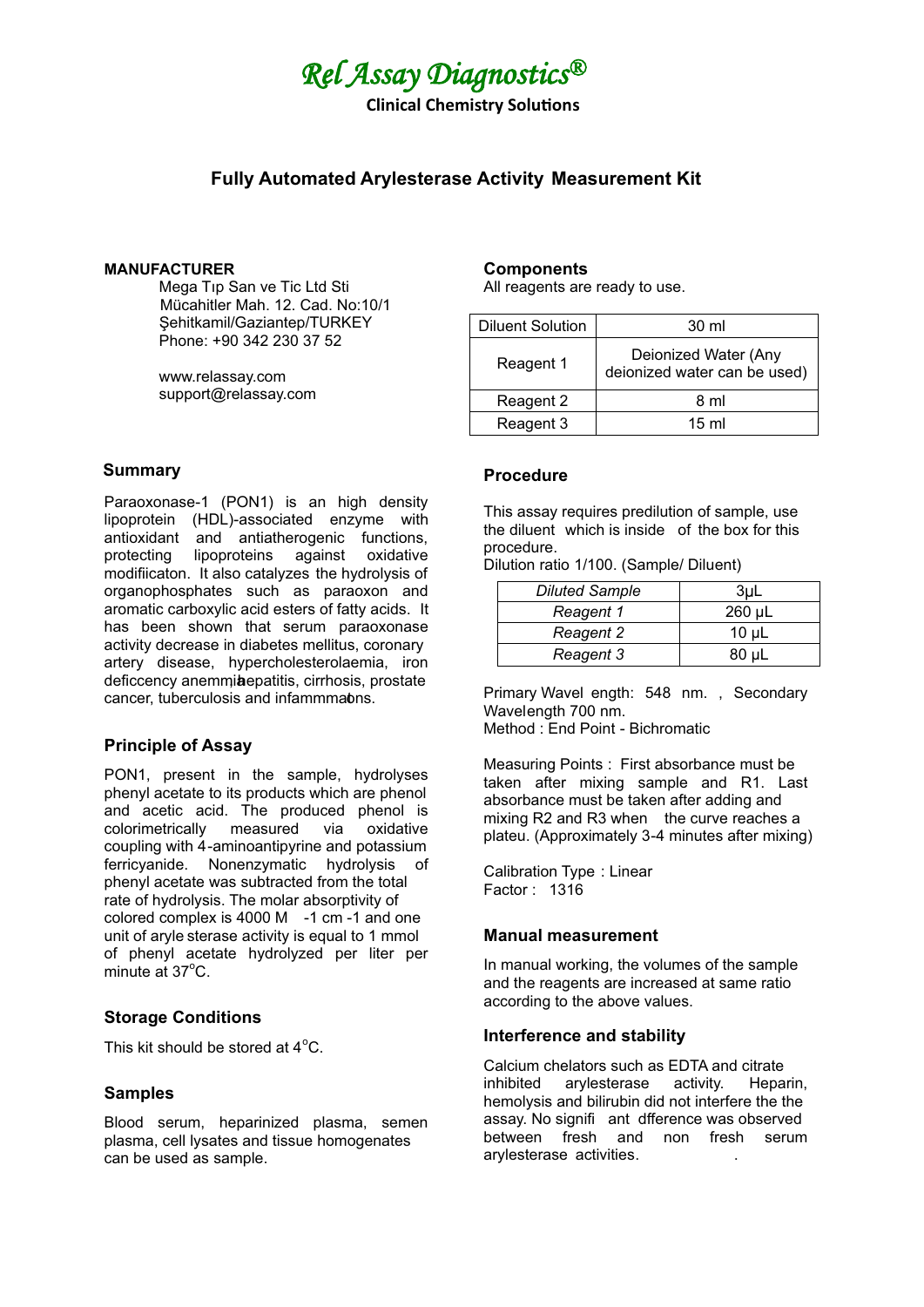

**Clinical Chemistry Solutions** 

# **Fully Automated Arylesterase Activity Measurement Kit**

#### **MANUFACTURER**

Mega Tıp San ve Tic Ltd Sti Mücahtler Mah. 12. Cad. No:10/1 Sehitkamil/Gaziantep/TURKEY Phone: +90 342 230 37 52

www.relassay.com support@relassay.com

#### **Summary**

Paraoxonase-1 (PON1) is an high density lipoprotein (HDL)-associated enzyme with antioxidant and antiatherogenic functions, protecting lipoproteins against oxidative modifiicaton. It also catalyzes the hydrolysis of organophosphates such as paraoxon and aromatic carboxylic acid esters of fatty acids. It has been shown that serum paraoxonase activity decrease in diabetes mellitus, coronary artery disease, hypercholesterolaemia, iron deficcency anemmiaepatitis, cirrhosis, prostate cancer, tuberculosis and infammmabns.

### **Principle of Assay**

PON1, present in the sample, hydrolyses phenyl acetate to its products which are phenol and acetic acid. The produced phenol is colorimetrically measured via oxidative coupling with 4-aminoantipyrine and potassium ferricyanide. Nonenzymatic hydrolysis of phenyl acetate was subtracted from the total rate of hydrolysis. The molar absorptivity of colored complex is 4000 M  $-1$  cm -1 and one unit of aryle sterase activity is equal to 1 mmol of phenyl acetate hydrolyzed per liter per minute at  $37^{\circ}$ C.

## **Storage Conditions**

This kit should be stored at  $4^{\circ}$ C.

#### **Samples**

Blood serum, heparinized plasma, semen plasma, cell lysates and tissue homogenates can be used as sample.

### **Components**

All reagents are ready to use.

| <b>Diluent Solution</b> | 30 ml                                                |
|-------------------------|------------------------------------------------------|
| Reagent 1               | Deionized Water (Any<br>deionized water can be used) |
| Reagent 2               | 8 ml                                                 |
| Reagent 3               | $15 \text{ ml}$                                      |

### **Procedure**

This assay requires predilution of sample, use the diluent which is inside of the box for this procedure.

Dilution ratio 1/100. (Sample/ Diluent)

| <b>Diluted Sample</b> | 3uL    |
|-----------------------|--------|
| Reagent 1             | 260 µL |
| Reagent 2             | 10 µL  |
| Reagent 3             | 80 uL  |

Primary Wavel ength: 548 nm., Secondary Wavelength 700 nm. Method : End Point - Bichromatic

Measuring Points : First absorbance must be taken after mixing sample and R1. Last absorbance must be taken after adding and mixing R2 and R3 when the curve reaches a plateu. (Approximately 3-4 minutes after mixing)

Calibration Type : Linear Factor : 1316

#### **Manual measurement**

In manual working, the volumes of the sample and the reagents are increased at same ratio according to the above values.

#### **Interference and stability**

Calcium chelators such as EDTA and citrate inhibited arylesterase activity. Heparin, hemolysis and bilirubin did not interfere the the assay. No signifi ant dfference was observed between fresh and non fresh serum arylesterase activities.